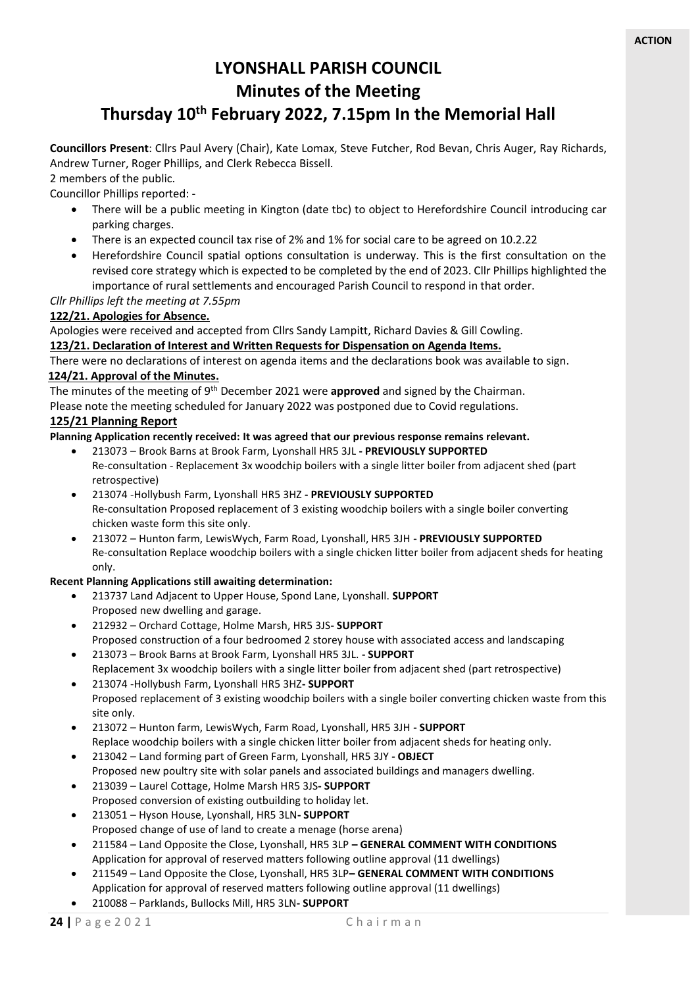# **LYONSHALL PARISH COUNCIL Minutes of the Meeting**

# **Thursday 10th February 2022, 7.15pm In the Memorial Hall**

**Councillors Present**: Cllrs Paul Avery (Chair), Kate Lomax, Steve Futcher, Rod Bevan, Chris Auger, Ray Richards, Andrew Turner, Roger Phillips, and Clerk Rebecca Bissell.

2 members of the public.

Councillor Phillips reported: -

- There will be a public meeting in Kington (date tbc) to object to Herefordshire Council introducing car parking charges.
- There is an expected council tax rise of 2% and 1% for social care to be agreed on 10.2.22
- Herefordshire Council spatial options consultation is underway. This is the first consultation on the revised core strategy which is expected to be completed by the end of 2023. Cllr Phillips highlighted the importance of rural settlements and encouraged Parish Council to respond in that order.

*Cllr Phillips left the meeting at 7.55pm*

## **122/21. Apologies for Absence.**

Apologies were received and accepted from Cllrs Sandy Lampitt, Richard Davies & Gill Cowling.

#### **123/21. Declaration of Interest and Written Requests for Dispensation on Agenda Items.**

There were no declarations of interest on agenda items and the declarations book was available to sign. **124/21. Approval of the Minutes.**

The minutes of the meeting of 9<sup>th</sup> December 2021 were **approved** and signed by the Chairman.

Please note the meeting scheduled for January 2022 was postponed due to Covid regulations.

#### **125/21 Planning Report**

#### **Planning Application recently received: It was agreed that our previous response remains relevant.**

- 213073 Brook Barns at Brook Farm, Lyonshall HR5 3JL **- PREVIOUSLY SUPPORTED** Re-consultation - Replacement 3x woodchip boilers with a single litter boiler from adjacent shed (part retrospective)
- 213074 -Hollybush Farm, Lyonshall HR5 3HZ **- PREVIOUSLY SUPPORTED** Re-consultation Proposed replacement of 3 existing woodchip boilers with a single boiler converting chicken waste form this site only.
- 213072 Hunton farm, LewisWych, Farm Road, Lyonshall, HR5 3JH **- PREVIOUSLY SUPPORTED** Re-consultation Replace woodchip boilers with a single chicken litter boiler from adjacent sheds for heating only.

#### **Recent Planning Applications still awaiting determination:**

- 213737 Land Adjacent to Upper House, Spond Lane, Lyonshall. **SUPPORT** Proposed new dwelling and garage.
- 212932 Orchard Cottage, Holme Marsh, HR5 3JS**- SUPPORT** Proposed construction of a four bedroomed 2 storey house with associated access and landscaping
- 213073 Brook Barns at Brook Farm, Lyonshall HR5 3JL. **- SUPPORT** Replacement 3x woodchip boilers with a single litter boiler from adjacent shed (part retrospective)
- 213074 -Hollybush Farm, Lyonshall HR5 3HZ**- SUPPORT** Proposed replacement of 3 existing woodchip boilers with a single boiler converting chicken waste from this site only.
- 213072 Hunton farm, LewisWych, Farm Road, Lyonshall, HR5 3JH **- SUPPORT** Replace woodchip boilers with a single chicken litter boiler from adjacent sheds for heating only.
- 213042 Land forming part of Green Farm, Lyonshall, HR5 3JY **- OBJECT** Proposed new poultry site with solar panels and associated buildings and managers dwelling.
- 213039 Laurel Cottage, Holme Marsh HR5 3JS**- SUPPORT** Proposed conversion of existing outbuilding to holiday let.
- 213051 Hyson House, Lyonshall, HR5 3LN**- SUPPORT** Proposed change of use of land to create a menage (horse arena)
- 211584 Land Opposite the Close, Lyonshall, HR5 3LP **– GENERAL COMMENT WITH CONDITIONS** Application for approval of reserved matters following outline approval (11 dwellings)
- 211549 Land Opposite the Close, Lyonshall, HR5 3LP**– GENERAL COMMENT WITH CONDITIONS** Application for approval of reserved matters following outline approval (11 dwellings)
- 210088 Parklands, Bullocks Mill, HR5 3LN**- SUPPORT**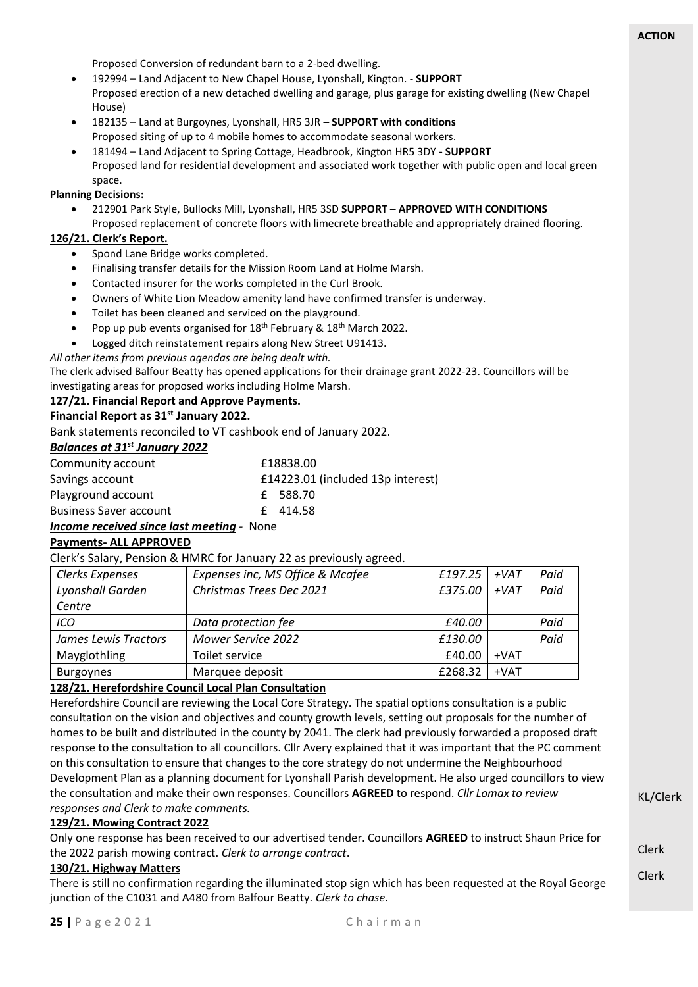Proposed Conversion of redundant barn to a 2-bed dwelling.

- 192994 Land Adjacent to New Chapel House, Lyonshall, Kington. **SUPPORT** Proposed erection of a new detached dwelling and garage, plus garage for existing dwelling (New Chapel House)
- 182135 Land at Burgoynes, Lyonshall, HR5 3JR **– SUPPORT with conditions** Proposed siting of up to 4 mobile homes to accommodate seasonal workers.
- 181494 Land Adjacent to Spring Cottage, Headbrook, Kington HR5 3DY **- SUPPORT** Proposed land for residential development and associated work together with public open and local green space.

#### **Planning Decisions:**

- 212901 Park Style, Bullocks Mill, Lyonshall, HR5 3SD **SUPPORT – APPROVED WITH CONDITIONS**
- Proposed replacement of concrete floors with limecrete breathable and appropriately drained flooring.

## **126/21. Clerk's Report.**

- Spond Lane Bridge works completed.
- Finalising transfer details for the Mission Room Land at Holme Marsh.
- Contacted insurer for the works completed in the Curl Brook.
- Owners of White Lion Meadow amenity land have confirmed transfer is underway.
- Toilet has been cleaned and serviced on the playground.
- Pop up pub events organised for 18<sup>th</sup> February & 18<sup>th</sup> March 2022.
- Logged ditch reinstatement repairs along New Street U91413.

*All other items from previous agendas are being dealt with.* 

The clerk advised Balfour Beatty has opened applications for their drainage grant 2022-23. Councillors will be investigating areas for proposed works including Holme Marsh.

## **127/21. Financial Report and Approve Payments.**

# **Financial Report as 31st January 2022.**

Bank statements reconciled to VT cashbook end of January 2022.

## *Balances at 31st January 2022*

| Community account             | £18838.00                         |
|-------------------------------|-----------------------------------|
| Savings account               | £14223.01 (included 13p interest) |
| Playground account            | £ 588.70                          |
| <b>Business Saver account</b> | £414.58                           |

#### *Income received since last meeting -* None

#### **Payments- ALL APPROVED**

Clerk's Salary, Pension & HMRC for January 22 as previously agreed.

| Clerks Expenses      | Expenses inc, MS Office & Mcafee | £197.25 | $+VAT$ | Paid |
|----------------------|----------------------------------|---------|--------|------|
| Lyonshall Garden     | Christmas Trees Dec 2021         | £375.00 | $+VAT$ | Paid |
| Centre               |                                  |         |        |      |
| ICO                  | Data protection fee              | £40.00  |        | Paid |
| James Lewis Tractors | <b>Mower Service 2022</b>        | £130.00 |        | Paid |
| Mayglothling         | Toilet service                   | £40.00  | $+VAT$ |      |
| <b>Burgoynes</b>     | Marquee deposit                  | £268.32 | $+VAT$ |      |

#### **128/21. Herefordshire Council Local Plan Consultation**

Herefordshire Council are reviewing the Local Core Strategy. The spatial options consultation is a public consultation on the vision and objectives and county growth levels, setting out proposals for the number of homes to be built and distributed in the county by 2041. The clerk had previously forwarded a proposed draft response to the consultation to all councillors. Cllr Avery explained that it was important that the PC comment on this consultation to ensure that changes to the core strategy do not undermine the Neighbourhood Development Plan as a planning document for Lyonshall Parish development. He also urged councillors to view the consultation and make their own responses. Councillors **AGREED** to respond. *Cllr Lomax to review responses and Clerk to make comments.*

#### **129/21. Mowing Contract 2022**

Only one response has been received to our advertised tender. Councillors **AGREED** to instruct Shaun Price for the 2022 parish mowing contract. *Clerk to arrange contract*.

#### **130/21. Highway Matters**

There is still no confirmation regarding the illuminated stop sign which has been requested at the Royal George junction of the C1031 and A480 from Balfour Beatty. *Clerk to chase.*

KL/Clerk

Clerk

Clerk